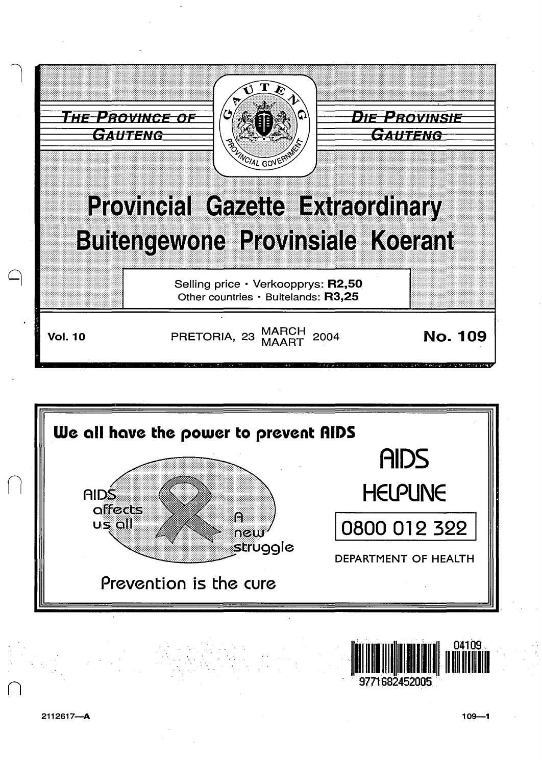





2112617-A